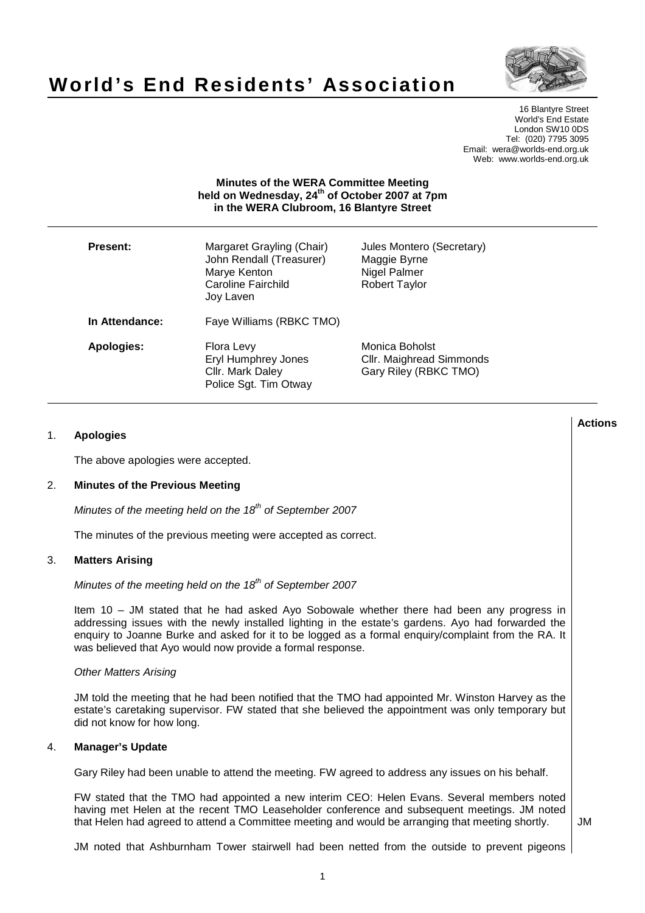

# **World's End Residents' Association**

16 Blantyre Street World's End Estate London SW10 0DS Tel: (020) 7795 3095 Email: wera@worlds-end.org.uk Web: www.worlds-end.org.uk

# **Minutes of the WERA Committee Meeting held on Wednesday, 24th of October 2007 at 7pm in the WERA Clubroom, 16 Blantyre Street**

| <b>Present:</b>   | Margaret Grayling (Chair)<br>John Rendall (Treasurer)<br>Marye Kenton<br>Caroline Fairchild<br>Joy Laven | Jules Montero (Secretary)<br>Maggie Byrne<br>Nigel Palmer<br><b>Robert Taylor</b> |
|-------------------|----------------------------------------------------------------------------------------------------------|-----------------------------------------------------------------------------------|
| In Attendance:    | Faye Williams (RBKC TMO)                                                                                 |                                                                                   |
| <b>Apologies:</b> | Flora Levy<br>Eryl Humphrey Jones<br>Cllr. Mark Daley<br>Police Sgt. Tim Otway                           | Monica Boholst<br>Cllr. Maighread Simmonds<br>Gary Riley (RBKC TMO)               |

## 1. **Apologies**

The above apologies were accepted.

#### 2. **Minutes of the Previous Meeting**

Minutes of the meeting held on the  $18<sup>th</sup>$  of September 2007

The minutes of the previous meeting were accepted as correct.

#### 3. **Matters Arising**

Minutes of the meeting held on the  $18<sup>th</sup>$  of September 2007

Item 10 – JM stated that he had asked Ayo Sobowale whether there had been any progress in addressing issues with the newly installed lighting in the estate's gardens. Ayo had forwarded the enquiry to Joanne Burke and asked for it to be logged as a formal enquiry/complaint from the RA. It was believed that Ayo would now provide a formal response.

#### Other Matters Arising

JM told the meeting that he had been notified that the TMO had appointed Mr. Winston Harvey as the estate's caretaking supervisor. FW stated that she believed the appointment was only temporary but did not know for how long.

#### 4. **Manager's Update**

Gary Riley had been unable to attend the meeting. FW agreed to address any issues on his behalf.

FW stated that the TMO had appointed a new interim CEO: Helen Evans. Several members noted having met Helen at the recent TMO Leaseholder conference and subsequent meetings. JM noted that Helen had agreed to attend a Committee meeting and would be arranging that meeting shortly.

JM

JM noted that Ashburnham Tower stairwell had been netted from the outside to prevent pigeons

**Lactions のことには、このことにより、このことにより、このことになります。 そのことには、このことにより、このことにより、このことになります。 そのことには、このことにより、このことには、このことにより、このことにより、このことにより、このことにより、このことにより、このことにより、このことにより、このことにより、このことにより、このことにより、このことにより、このことにより、このことにより、このことによっていることになっ**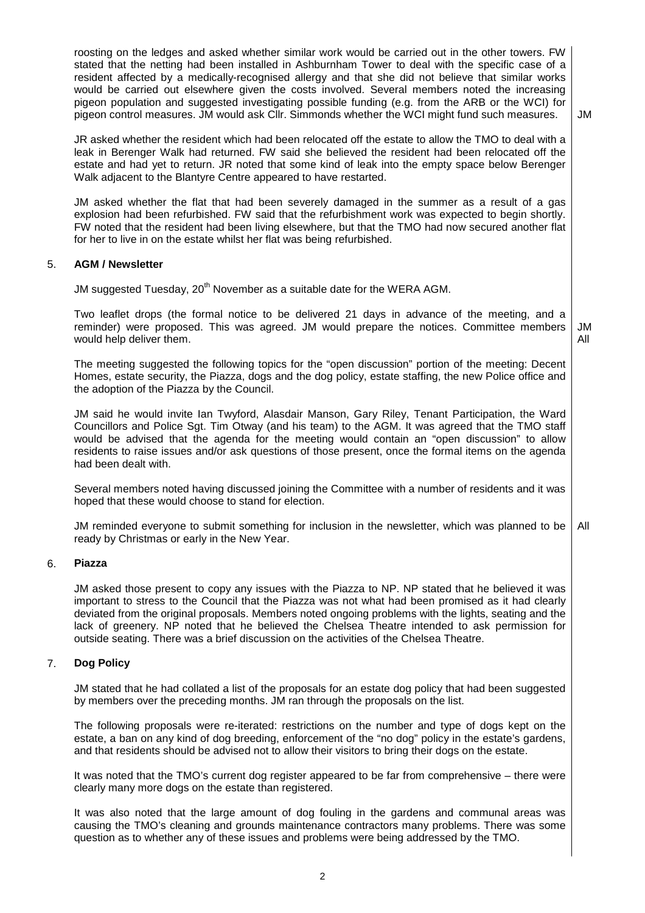roosting on the ledges and asked whether similar work would be carried out in the other towers. FW stated that the netting had been installed in Ashburnham Tower to deal with the specific case of a resident affected by a medically-recognised allergy and that she did not believe that similar works would be carried out elsewhere given the costs involved. Several members noted the increasing pigeon population and suggested investigating possible funding (e.g. from the ARB or the WCI) for pigeon control measures. JM would ask Cllr. Simmonds whether the WCI might fund such measures.

JM

JR asked whether the resident which had been relocated off the estate to allow the TMO to deal with a leak in Berenger Walk had returned. FW said she believed the resident had been relocated off the estate and had yet to return. JR noted that some kind of leak into the empty space below Berenger Walk adjacent to the Blantyre Centre appeared to have restarted.

JM asked whether the flat that had been severely damaged in the summer as a result of a gas explosion had been refurbished. FW said that the refurbishment work was expected to begin shortly. FW noted that the resident had been living elsewhere, but that the TMO had now secured another flat for her to live in on the estate whilst her flat was being refurbished.

#### 5. **AGM / Newsletter**

JM suggested Tuesday,  $20<sup>th</sup>$  November as a suitable date for the WERA AGM.

Two leaflet drops (the formal notice to be delivered 21 days in advance of the meeting, and a reminder) were proposed. This was agreed. JM would prepare the notices. Committee members would help deliver them. JM All

The meeting suggested the following topics for the "open discussion" portion of the meeting: Decent Homes, estate security, the Piazza, dogs and the dog policy, estate staffing, the new Police office and the adoption of the Piazza by the Council.

JM said he would invite Ian Twyford, Alasdair Manson, Gary Riley, Tenant Participation, the Ward Councillors and Police Sgt. Tim Otway (and his team) to the AGM. It was agreed that the TMO staff would be advised that the agenda for the meeting would contain an "open discussion" to allow residents to raise issues and/or ask questions of those present, once the formal items on the agenda had been dealt with.

Several members noted having discussed joining the Committee with a number of residents and it was hoped that these would choose to stand for election.

JM reminded everyone to submit something for inclusion in the newsletter, which was planned to be ready by Christmas or early in the New Year. All

#### 6. **Piazza**

JM asked those present to copy any issues with the Piazza to NP. NP stated that he believed it was important to stress to the Council that the Piazza was not what had been promised as it had clearly deviated from the original proposals. Members noted ongoing problems with the lights, seating and the lack of greenery. NP noted that he believed the Chelsea Theatre intended to ask permission for outside seating. There was a brief discussion on the activities of the Chelsea Theatre.

### 7. **Dog Policy**

JM stated that he had collated a list of the proposals for an estate dog policy that had been suggested by members over the preceding months. JM ran through the proposals on the list.

The following proposals were re-iterated: restrictions on the number and type of dogs kept on the estate, a ban on any kind of dog breeding, enforcement of the "no dog" policy in the estate's gardens, and that residents should be advised not to allow their visitors to bring their dogs on the estate.

It was noted that the TMO's current dog register appeared to be far from comprehensive – there were clearly many more dogs on the estate than registered.

It was also noted that the large amount of dog fouling in the gardens and communal areas was causing the TMO's cleaning and grounds maintenance contractors many problems. There was some question as to whether any of these issues and problems were being addressed by the TMO.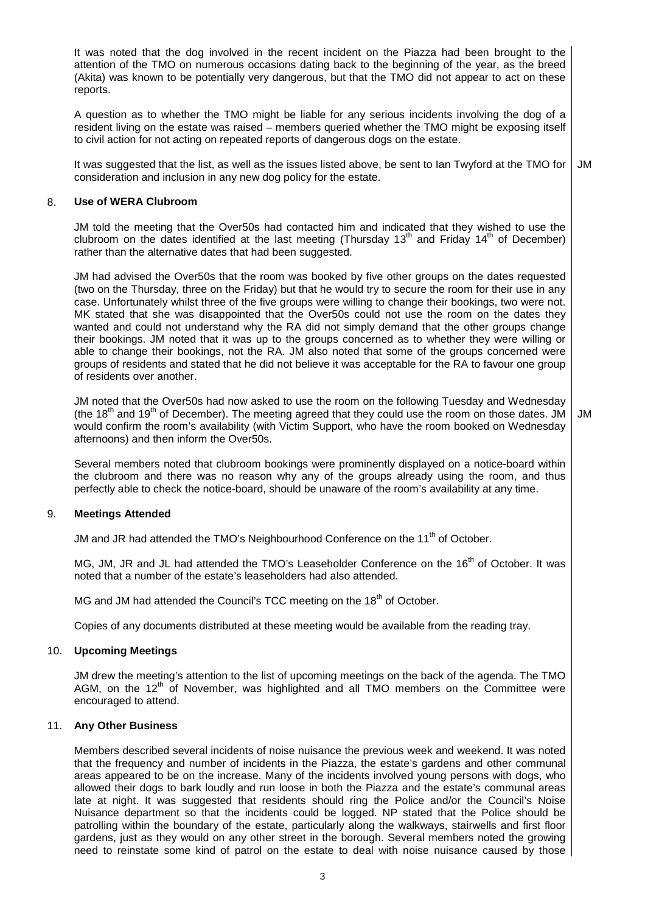It was noted that the dog involved in the recent incident on the Piazza had been brought to the attention of the TMO on numerous occasions dating back to the beginning of the year, as the breed (Akita) was known to be potentially very dangerous, but that the TMO did not appear to act on these reports.

A question as to whether the TMO might be liable for any serious incidents involving the dog of a resident living on the estate was raised – members queried whether the TMO might be exposing itself to civil action for not acting on repeated reports of dangerous dogs on the estate.

It was suggested that the list, as well as the issues listed above, be sent to Ian Twyford at the TMO for consideration and inclusion in any new dog policy for the estate. JM

### 8. **Use of WERA Clubroom**

JM told the meeting that the Over50s had contacted him and indicated that they wished to use the clubroom on the dates identified at the last meeting (Thursday 13<sup>th</sup> and Friday 14<sup>th</sup> of December) rather than the alternative dates that had been suggested.

JM had advised the Over50s that the room was booked by five other groups on the dates requested (two on the Thursday, three on the Friday) but that he would try to secure the room for their use in any case. Unfortunately whilst three of the five groups were willing to change their bookings, two were not. MK stated that she was disappointed that the Over50s could not use the room on the dates they wanted and could not understand why the RA did not simply demand that the other groups change their bookings. JM noted that it was up to the groups concerned as to whether they were willing or able to change their bookings, not the RA. JM also noted that some of the groups concerned were groups of residents and stated that he did not believe it was acceptable for the RA to favour one group of residents over another.

JM noted that the Over50s had now asked to use the room on the following Tuesday and Wednesday (the  $18<sup>th</sup>$  and  $19<sup>th</sup>$  of December). The meeting agreed that they could use the room on those dates. JM would confirm the room's availability (with Victim Support, who have the room booked on Wednesday afternoons) and then inform the Over50s. JM

Several members noted that clubroom bookings were prominently displayed on a notice-board within the clubroom and there was no reason why any of the groups already using the room, and thus perfectly able to check the notice-board, should be unaware of the room's availability at any time.

#### 9. **Meetings Attended**

JM and JR had attended the TMO's Neighbourhood Conference on the 11<sup>th</sup> of October.

MG, JM, JR and JL had attended the TMO's Leaseholder Conference on the 16<sup>th</sup> of October. It was noted that a number of the estate's leaseholders had also attended.

MG and JM had attended the Council's TCC meeting on the 18<sup>th</sup> of October.

Copies of any documents distributed at these meeting would be available from the reading tray.

#### 10. **Upcoming Meetings**

JM drew the meeting's attention to the list of upcoming meetings on the back of the agenda. The TMO AGM, on the  $12<sup>th</sup>$  of November, was highlighted and all TMO members on the Committee were encouraged to attend.

#### 11. **Any Other Business**

Members described several incidents of noise nuisance the previous week and weekend. It was noted that the frequency and number of incidents in the Piazza, the estate's gardens and other communal areas appeared to be on the increase. Many of the incidents involved young persons with dogs, who allowed their dogs to bark loudly and run loose in both the Piazza and the estate's communal areas late at night. It was suggested that residents should ring the Police and/or the Council's Noise Nuisance department so that the incidents could be logged. NP stated that the Police should be patrolling within the boundary of the estate, particularly along the walkways, stairwells and first floor gardens, just as they would on any other street in the borough. Several members noted the growing need to reinstate some kind of patrol on the estate to deal with noise nuisance caused by those